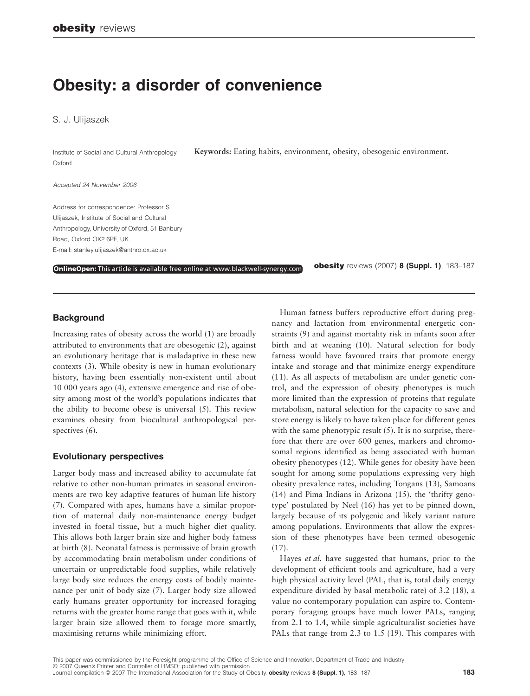# **Obesity: a disorder of convenience**

S. J. Ulijaszek

Institute of Social and Cultural Anthropology, Oxford

**Keywords:** Eating habits, environment, obesity, obesogenic environment.

#### *Accepted 24 November 2006*

Address for correspondence: Professor S Ulijaszek, Institute of Social and Cultural Anthropology, University of Oxford, 51 Banbury Road, Oxford OX2 6PF, UK. E-mail: stanley.ulijaszek@anthro.ox.ac.uk

**OnlineOpen:** This article is available free online at www.blackwell-synergy.com

**obesity** reviews (2007) **8 (Suppl. 1)**, 183–187

### **Background**

Increasing rates of obesity across the world (1) are broadly attributed to environments that are obesogenic (2), against an evolutionary heritage that is maladaptive in these new contexts (3). While obesity is new in human evolutionary history, having been essentially non-existent until about 10 000 years ago (4), extensive emergence and rise of obesity among most of the world's populations indicates that the ability to become obese is universal (5). This review examines obesity from biocultural anthropological perspectives (6).

#### **Evolutionary perspectives**

Larger body mass and increased ability to accumulate fat relative to other non-human primates in seasonal environments are two key adaptive features of human life history (7). Compared with apes, humans have a similar proportion of maternal daily non-maintenance energy budget invested in foetal tissue, but a much higher diet quality. This allows both larger brain size and higher body fatness at birth (8). Neonatal fatness is permissive of brain growth by accommodating brain metabolism under conditions of uncertain or unpredictable food supplies, while relatively large body size reduces the energy costs of bodily maintenance per unit of body size (7). Larger body size allowed early humans greater opportunity for increased foraging returns with the greater home range that goes with it, while larger brain size allowed them to forage more smartly, maximising returns while minimizing effort.

Human fatness buffers reproductive effort during pregnancy and lactation from environmental energetic constraints (9) and against mortality risk in infants soon after birth and at weaning (10). Natural selection for body fatness would have favoured traits that promote energy intake and storage and that minimize energy expenditure (11). As all aspects of metabolism are under genetic control, and the expression of obesity phenotypes is much more limited than the expression of proteins that regulate metabolism, natural selection for the capacity to save and store energy is likely to have taken place for different genes with the same phenotypic result (5). It is no surprise, therefore that there are over 600 genes, markers and chromosomal regions identified as being associated with human obesity phenotypes (12). While genes for obesity have been sought for among some populations expressing very high obesity prevalence rates, including Tongans (13), Samoans (14) and Pima Indians in Arizona (15), the 'thrifty genotype' postulated by Neel (16) has yet to be pinned down, largely because of its polygenic and likely variant nature among populations. Environments that allow the expression of these phenotypes have been termed obesogenic  $(17)$ .

Hayes *et al*. have suggested that humans, prior to the development of efficient tools and agriculture, had a very high physical activity level (PAL, that is, total daily energy expenditure divided by basal metabolic rate) of 3.2 (18), a value no contemporary population can aspire to. Contemporary foraging groups have much lower PALs, ranging from 2.1 to 1.4, while simple agriculturalist societies have PALs that range from 2.3 to 1.5 (19). This compares with

This paper was commissioned by the Foresight programme of the Office of Science and Innovation, Department of Trade and Industry © 2007 Queen's Printer and Controller of HMSO; published with permission Journal compilation © 2007 The International Association for the Study of Obesity. **obesity** reviews **8 (Suppl. 1)**, 183–187 **183**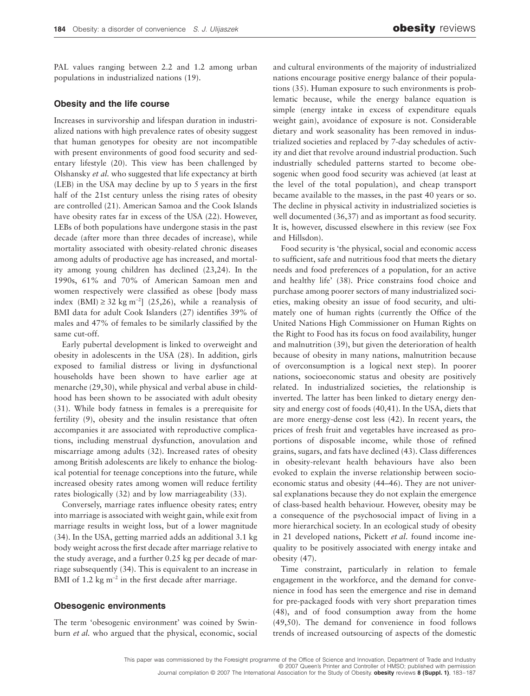PAL values ranging between 2.2 and 1.2 among urban populations in industrialized nations (19).

#### **Obesity and the life course**

Increases in survivorship and lifespan duration in industrialized nations with high prevalence rates of obesity suggest that human genotypes for obesity are not incompatible with present environments of good food security and sedentary lifestyle (20). This view has been challenged by Olshansky *et al.* who suggested that life expectancy at birth (LEB) in the USA may decline by up to 5 years in the first half of the 21st century unless the rising rates of obesity are controlled (21). American Samoa and the Cook Islands have obesity rates far in excess of the USA (22). However, LEBs of both populations have undergone stasis in the past decade (after more than three decades of increase), while mortality associated with obesity-related chronic diseases among adults of productive age has increased, and mortality among young children has declined (23,24). In the 1990s, 61% and 70% of American Samoan men and women respectively were classified as obese [body mass index (BMI) ≥ 32 kg m<sup>-2</sup>] (25,26), while a reanalysis of BMI data for adult Cook Islanders (27) identifies 39% of males and 47% of females to be similarly classified by the same cut-off.

Early pubertal development is linked to overweight and obesity in adolescents in the USA (28). In addition, girls exposed to familial distress or living in dysfunctional households have been shown to have earlier age at menarche (29,30), while physical and verbal abuse in childhood has been shown to be associated with adult obesity (31). While body fatness in females is a prerequisite for fertility (9), obesity and the insulin resistance that often accompanies it are associated with reproductive complications, including menstrual dysfunction, anovulation and miscarriage among adults (32). Increased rates of obesity among British adolescents are likely to enhance the biological potential for teenage conceptions into the future, while increased obesity rates among women will reduce fertility rates biologically (32) and by low marriageability (33).

Conversely, marriage rates influence obesity rates; entry into marriage is associated with weight gain, while exit from marriage results in weight loss, but of a lower magnitude (34). In the USA, getting married adds an additional 3.1 kg body weight across the first decade after marriage relative to the study average, and a further 0.25 kg per decade of marriage subsequently (34). This is equivalent to an increase in BMI of 1.2 kg m<sup>−</sup><sup>2</sup> in the first decade after marriage.

#### **Obesogenic environments**

The term 'obesogenic environment' was coined by Swinburn *et al.* who argued that the physical, economic, social

and cultural environments of the majority of industrialized nations encourage positive energy balance of their populations (35). Human exposure to such environments is problematic because, while the energy balance equation is simple (energy intake in excess of expenditure equals weight gain), avoidance of exposure is not. Considerable dietary and work seasonality has been removed in industrialized societies and replaced by 7-day schedules of activity and diet that revolve around industrial production. Such industrially scheduled patterns started to become obesogenic when good food security was achieved (at least at the level of the total population), and cheap transport became available to the masses, in the past 40 years or so. The decline in physical activity in industrialized societies is well documented (36,37) and as important as food security. It is, however, discussed elsewhere in this review (see Fox and Hillsdon).

Food security is 'the physical, social and economic access to sufficient, safe and nutritious food that meets the dietary needs and food preferences of a population, for an active and healthy life' (38). Price constrains food choice and purchase among poorer sectors of many industrialized societies, making obesity an issue of food security, and ultimately one of human rights (currently the Office of the United Nations High Commissioner on Human Rights on the Right to Food has its focus on food availability, hunger and malnutrition (39), but given the deterioration of health because of obesity in many nations, malnutrition because of overconsumption is a logical next step). In poorer nations, socioeconomic status and obesity are positively related. In industrialized societies, the relationship is inverted. The latter has been linked to dietary energy density and energy cost of foods (40,41). In the USA, diets that are more energy-dense cost less (42). In recent years, the prices of fresh fruit and vegetables have increased as proportions of disposable income, while those of refined grains, sugars, and fats have declined (43). Class differences in obesity-relevant health behaviours have also been evoked to explain the inverse relationship between socioeconomic status and obesity (44–46). They are not universal explanations because they do not explain the emergence of class-based health behaviour. However, obesity may be a consequence of the psychosocial impact of living in a more hierarchical society. In an ecological study of obesity in 21 developed nations, Pickett *et al*. found income inequality to be positively associated with energy intake and obesity (47).

Time constraint, particularly in relation to female engagement in the workforce, and the demand for convenience in food has seen the emergence and rise in demand for pre-packaged foods with very short preparation times (48), and of food consumption away from the home (49,50). The demand for convenience in food follows trends of increased outsourcing of aspects of the domestic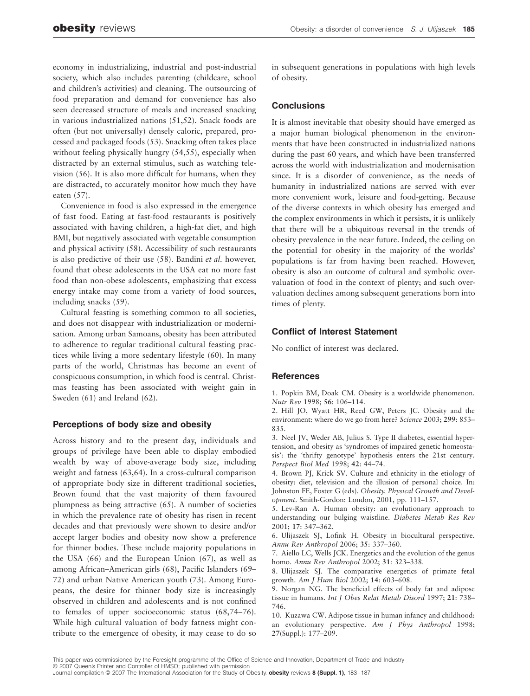economy in industrializing, industrial and post-industrial society, which also includes parenting (childcare, school and children's activities) and cleaning. The outsourcing of food preparation and demand for convenience has also seen decreased structure of meals and increased snacking in various industrialized nations (51,52). Snack foods are often (but not universally) densely caloric, prepared, processed and packaged foods (53). Snacking often takes place without feeling physically hungry (54,55), especially when distracted by an external stimulus, such as watching television (56). It is also more difficult for humans, when they are distracted, to accurately monitor how much they have eaten (57).

Convenience in food is also expressed in the emergence of fast food. Eating at fast-food restaurants is positively associated with having children, a high-fat diet, and high BMI, but negatively associated with vegetable consumption and physical activity (58). Accessibility of such restaurants is also predictive of their use (58). Bandini *et al.* however, found that obese adolescents in the USA eat no more fast food than non-obese adolescents, emphasizing that excess energy intake may come from a variety of food sources, including snacks (59).

Cultural feasting is something common to all societies, and does not disappear with industrialization or modernisation. Among urban Samoans, obesity has been attributed to adherence to regular traditional cultural feasting practices while living a more sedentary lifestyle (60). In many parts of the world, Christmas has become an event of conspicuous consumption, in which food is central. Christmas feasting has been associated with weight gain in Sweden (61) and Ireland (62).

# **Perceptions of body size and obesity**

Across history and to the present day, individuals and groups of privilege have been able to display embodied wealth by way of above-average body size, including weight and fatness (63,64). In a cross-cultural comparison of appropriate body size in different traditional societies, Brown found that the vast majority of them favoured plumpness as being attractive (65). A number of societies in which the prevalence rate of obesity has risen in recent decades and that previously were shown to desire and/or accept larger bodies and obesity now show a preference for thinner bodies. These include majority populations in the USA (66) and the European Union (67), as well as among African–American girls (68), Pacific Islanders (69– 72) and urban Native American youth (73). Among Europeans, the desire for thinner body size is increasingly observed in children and adolescents and is not confined to females of upper socioeconomic status (68,74–76). While high cultural valuation of body fatness might contribute to the emergence of obesity, it may cease to do so

in subsequent generations in populations with high levels of obesity.

# **Conclusions**

It is almost inevitable that obesity should have emerged as a major human biological phenomenon in the environments that have been constructed in industrialized nations during the past 60 years, and which have been transferred across the world with industrialization and modernisation since. It is a disorder of convenience, as the needs of humanity in industrialized nations are served with ever more convenient work, leisure and food-getting. Because of the diverse contexts in which obesity has emerged and the complex environments in which it persists, it is unlikely that there will be a ubiquitous reversal in the trends of obesity prevalence in the near future. Indeed, the ceiling on the potential for obesity in the majority of the worlds' populations is far from having been reached. However, obesity is also an outcome of cultural and symbolic overvaluation of food in the context of plenty; and such overvaluation declines among subsequent generations born into times of plenty.

# **Conflict of Interest Statement**

No conflict of interest was declared.

#### **References**

1. Popkin BM, Doak CM. Obesity is a worldwide phenomenon. *Nutr Rev* 1998; **56**: 106–114.

2. Hill JO, Wyatt HR, Reed GW, Peters JC. Obesity and the environment: where do we go from here? *Science* 2003; **299**: 853– 835.

3. Neel JV, Weder AB, Julius S. Type II diabetes, essential hypertension, and obesity as 'syndromes of impaired genetic homeostasis': the 'thrifty genotype' hypothesis enters the 21st century. *Perspect Biol Med* 1998; **42**: 44–74.

4. Brown PJ, Krick SV. Culture and ethnicity in the etiology of obesity: diet, television and the illusion of personal choice. In: Johnston FE, Foster G (eds). *Obesity, Physical Growth and Development*. Smith-Gordon: London, 2001, pp. 111–157.

5. Lev-Ran A. Human obesity: an evolutionary approach to understanding our bulging waistline. *Diabetes Metab Res Rev* 2001; **17**: 347–362.

6. Ulijaszek SJ, Lofink H. Obesity in biocultural perspective. *Annu Rev Anthropol* 2006; **35**: 337–360.

7. Aiello LC, Wells JCK. Energetics and the evolution of the genus homo. *Annu Rev Anthropol* 2002; **31**: 323–338.

8. Ulijaszek SJ. The comparative energetics of primate fetal growth. *Am J Hum Biol* 2002; **14**: 603–608.

9. Norgan NG. The beneficial effects of body fat and adipose tissue in humans. *Int J Obes Relat Metab Disord* 1997; **21**: 738– 746.

10. Kuzawa CW. Adipose tissue in human infancy and childhood: an evolutionary perspective. *Am J Phys Anthropol* 1998; **27**(Suppl.): 177–209.

This paper was commissioned by the Foresight programme of the Office of Science and Innovation, Department of Trade and Industry © 2007 Queen's Printer and Controller of HMSO; published with permission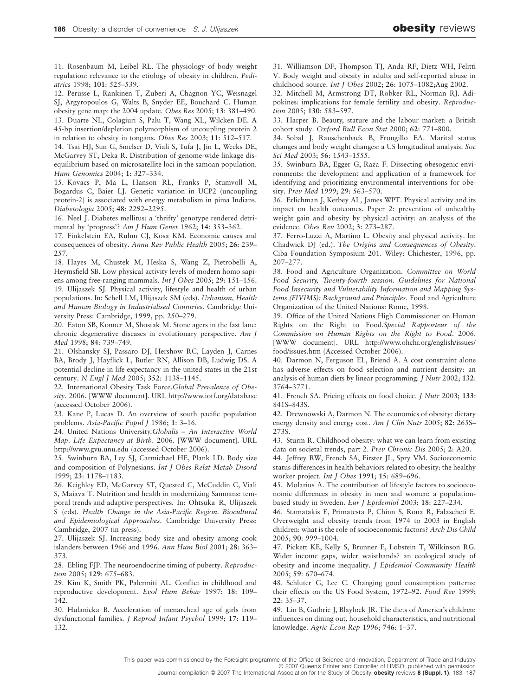11. Rosenbaum M, Leibel RL. The physiology of body weight regulation: relevance to the etiology of obesity in children. *Pediatrics* 1998; **101**: 525–539.

12. Perusse L, Rankinen T, Zuberi A, Chagnon YC, Weisnagel SJ, Argyropoulos G, Walts B, Snyder EE, Bouchard C. Human obesity gene map: the 2004 update. *Obes Res* 2005; **13**: 381–490. 13. Duarte NL, Colagiuri S, Palu T, Wang XL, Wilcken DE. A 45-bp insertion/depletion polymorphism of uncoupling protein 2

in relation to obesity in tongans. *Obes Res* 2003; **11**: 512–517. 14. Tsai HJ, Sun G, Smelser D, Viali S, Tufa J, Jin L, Weeks DE,

McGarvey ST, Deka R. Distribution of genome-wide linkage disequilibrium based on microsatellite loci in the samoan population. *Hum Genomics* 2004; **1**: 327–334.

15. Kovacs P, Ma L, Hanson RL, Franks P, Stumvoll M, Bogardus C, Baier LJ. Genetic variation in UCP2 (uncoupling protein-2) is associated with energy metabolism in pima Indians. *Diabetologia* 2005; **48**: 2292–2295.

16. Neel J. Diabetes mellitus: a 'thrifty' genotype rendered detrimental by 'progress'? *Am J Hum Genet* 1962; **14**: 353–362.

17. Finkelstein EA, Ruhm CJ, Kosa KM. Economic causes and consequences of obesity. *Annu Rev Public Health* 2005; **26**: 239– 257.

18. Hayes M, Chustek M, Heska S, Wang Z, Pietrobelli A, Heymsfield SB. Low physical activity levels of modern homo sapiens among free-ranging mammals. *Int J Obes* 2005; **29**: 151–156. 19. Ulijaszek SJ. Physical activity, lifestyle and health of urban populations. In: Schell LM, Ulijaszek SM (eds). *Urbanism, Health and Human Biology in Industrialised Countries.* Cambridge University Press: Cambridge, 1999, pp. 250–279.

20. Eaton SB, Konner M, Shostak M. Stone agers in the fast lane: chronic degenerative diseases in evolutionary perspective. *Am J Med* 1998; **84**: 739–749.

21. Olshansky SJ, Passaro DJ, Hershow RC, Layden J, Carnes BA, Brody J, Hayflick L, Butler RN, Allison DB, Ludwig DS. A potential decline in life expectancy in the united states in the 21st century. *N Engl J Med* 2005; **352**: 1138–1145.

22. International Obesity Task Force.*Global Prevalence of Obesity*. 2006. [WWW document]. URL<http://www.iotf.org/database> (accessed October 2006).

23. Kane P, Lucas D. An overview of south pacific population problems. *Asia-Pacific Popul J* 1986; **1**: 3–16.

24. United Nations University.*Globalis – An Interactive World Map. Life Expectancy at Birth*. 2006. [WWW document]. URL <http://www.gvu.unu.edu> (accessed October 2006).

25. Swinburn BA, Ley SJ, Carmichael HE, Plank LD. Body size and composition of Polynesians. *Int J Obes Relat Metab Disord* 1999; **23**: 1178–1183.

26. Keighley ED, McGarvey ST, Quested C, McCuddin C, Viali S, Maiava T. Nutrition and health in modernizing Samoans: temporal trends and adaptive perspectives. In: Ohtsuka R, Ulijaszek S (eds). *Health Change in the Asia-Pacific Region. Biocultural and Epidemiological Approaches*. Cambridge University Press: Cambridge, 2007 (in press).

27. Ulijaszek SJ. Increasing body size and obesity among cook islanders between 1966 and 1996. *Ann Hum Biol* 2001; **28**: 363– 373.

28. Ebling FJP. The neuroendocrine timing of puberty. *Reproduction* 2005; **129**: 675–683.

29. Kim K, Smith PK, Palermiti AL. Conflict in childhood and reproductive development. *Evol Hum Behav* 1997; **18**: 109– 142.

30. Hulanicka B. Acceleration of menarcheal age of girls from dysfunctional families. *J Reprod Infant Psychol* 1999; **17**: 119– 132.

31. Williamson DF, Thompson TJ, Anda RF, Dietz WH, Felitti V. Body weight and obesity in adults and self-reported abuse in childhood source. *Int J Obes* 2002; **26**: 1075–1082;Aug 2002.

32. Mitchell M, Armstrong DT, Robker RL, Norman RJ. Adipokines: implications for female fertility and obesity. *Reproduction* 2005; **130**: 583–597.

33. Harper B. Beauty, stature and the labour market: a British cohort study. *Oxford Bull Econ Stat* 2000; **62**: 771–800.

34. Sobal J, Rauschenback B, Frongillo EA. Marital status changes and body weight changes: a US longitudinal analysis. *Soc Sci Med* 2003; **56**: 1543–1555.

35. Swinburn BA, Egger G, Raza F. Dissecting obesogenic environments: the development and application of a framework for identifying and prioritizing environmental interventions for obesity. *Prev Med* 1999; **29**: 563–570.

36. Erlichman J, Kerbey AL, James WPT. Physical activity and its impact on health outcomes. Paper 2: prevention of unhealthy weight gain and obesity by physical activity: an analysis of the evidence. *Obes Rev* 2002; **3**: 273–287.

37. Ferro-Luzzi A, Martino L. Obesity and physical activity. In: Chadwick DJ (ed.). *The Origins and Consequences of Obesity*. Ciba Foundation Symposium 201. Wiley: Chichester, 1996, pp. 207–277.

38. Food and Agriculture Organization. *Committee on World Food Security, Twenty-fourth session. Guidelines for National Food Insecurity and Vulnerability Information and Mapping Systems (FIVIMS): Background and Principles.* Food and Agriculture Organization of the United Nations: Rome, 1998.

39. Office of the United Nations High Commissioner on Human Rights on the Right to Food.*Special Rapporteur of the Commission on Human Rights on the Right to Food*. 2006. [WWW document]. URL <http://www.ohchr.org/english/issues/> food/issues.htm (Accessed October 2006).

40. Darmon N, Ferguson EL, Briend A. A cost constraint alone has adverse effects on food selection and nutrient density: an analysis of human diets by linear programming. *J Nutr* 2002; **132**: 3764–3771.

41. French SA. Pricing effects on food choice. *J Nutr* 2003; **133**: 841S–843S.

42. Drewnowski A, Darmon N. The economics of obesity: dietary energy density and energy cost. *Am J Clin Nutr* 2005; **82**: 265S– 273S.

43. Sturm R. Childhood obesity: what we can learn from existing data on societal trends, part 2. *Prev Chronic Dis* 2005; **2**: A20.

44. Jeffrey RW, French SA, Firster JL, Spry VM. Socioeconomic status differences in health behaviors related to obesity: the healthy worker project. *Int J Obes* 1991; **15**: 689–696.

45. Molarius A. The contribution of lifestyle factors to socioeconomic differences in obesity in men and women: a populationbased study in Sweden. *Eur J Epidemiol* 2003; **18**: 227–234.

46. Stamatakis E, Primatesta P, Chinn S, Rona R, Falascheti E. Overweight and obesity trends from 1974 to 2003 in English children: what is the role of socioeconomic factors? *Arch Dis Child* 2005; **90**: 999–1004.

47. Pickett KE, Kelly S, Brunner E, Lobstein T, Wilkinson RG. Wider income gaps, wider waistbands? an ecological study of obesity and income inequality. *J Epidemiol Community Health* 2005; **59**: 670–674.

48. Schluter G, Lee C. Changing good consumption patterns: their effects on the US Food System, 1972–92. *Food Rev* 1999; **22**: 35–37.

49. Lin B, Guthrie J, Blaylock JR. The diets of America's children: influences on dining out, household characteristics, and nutritional knowledge. *Agric Econ Rep* 1996; **746**: 1–37.